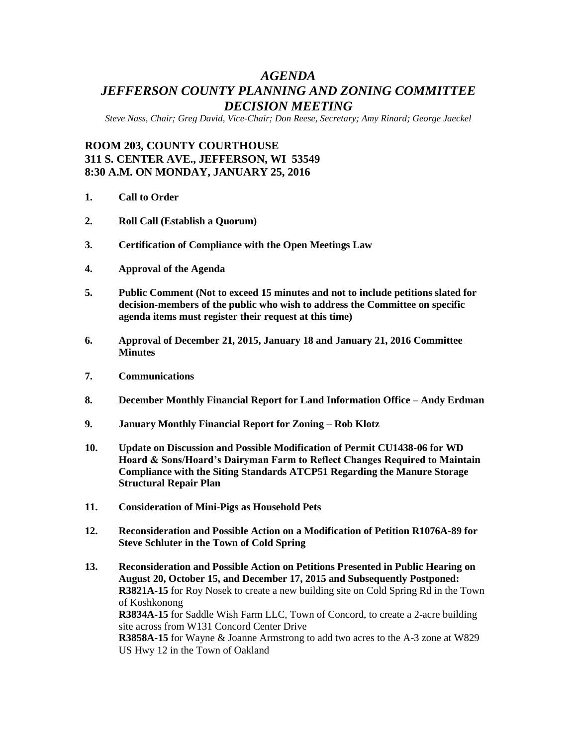# *AGENDA JEFFERSON COUNTY PLANNING AND ZONING COMMITTEE DECISION MEETING*

*Steve Nass, Chair; Greg David, Vice-Chair; Don Reese, Secretary; Amy Rinard; George Jaeckel*

## **ROOM 203, COUNTY COURTHOUSE 311 S. CENTER AVE., JEFFERSON, WI 53549 8:30 A.M. ON MONDAY, JANUARY 25, 2016**

- **1. Call to Order**
- **2. Roll Call (Establish a Quorum)**
- **3. Certification of Compliance with the Open Meetings Law**
- **4. Approval of the Agenda**
- **5. Public Comment (Not to exceed 15 minutes and not to include petitions slated for decision-members of the public who wish to address the Committee on specific agenda items must register their request at this time)**
- **6. Approval of December 21, 2015, January 18 and January 21, 2016 Committee Minutes**
- **7. Communications**
- **8. December Monthly Financial Report for Land Information Office – Andy Erdman**
- **9. January Monthly Financial Report for Zoning – Rob Klotz**
- **10. Update on Discussion and Possible Modification of Permit CU1438-06 for WD Hoard & Sons/Hoard's Dairyman Farm to Reflect Changes Required to Maintain Compliance with the Siting Standards ATCP51 Regarding the Manure Storage Structural Repair Plan**
- **11. Consideration of Mini-Pigs as Household Pets**
- **12. Reconsideration and Possible Action on a Modification of Petition R1076A-89 for Steve Schluter in the Town of Cold Spring**
- **13. Reconsideration and Possible Action on Petitions Presented in Public Hearing on August 20, October 15, and December 17, 2015 and Subsequently Postponed: R3821A-15** for Roy Nosek to create a new building site on Cold Spring Rd in the Town of Koshkonong **R3834A-15** for Saddle Wish Farm LLC, Town of Concord, to create a 2-acre building site across from W131 Concord Center Drive **R3858A-15** for Wayne & Joanne Armstrong to add two acres to the A-3 zone at W829 US Hwy 12 in the Town of Oakland